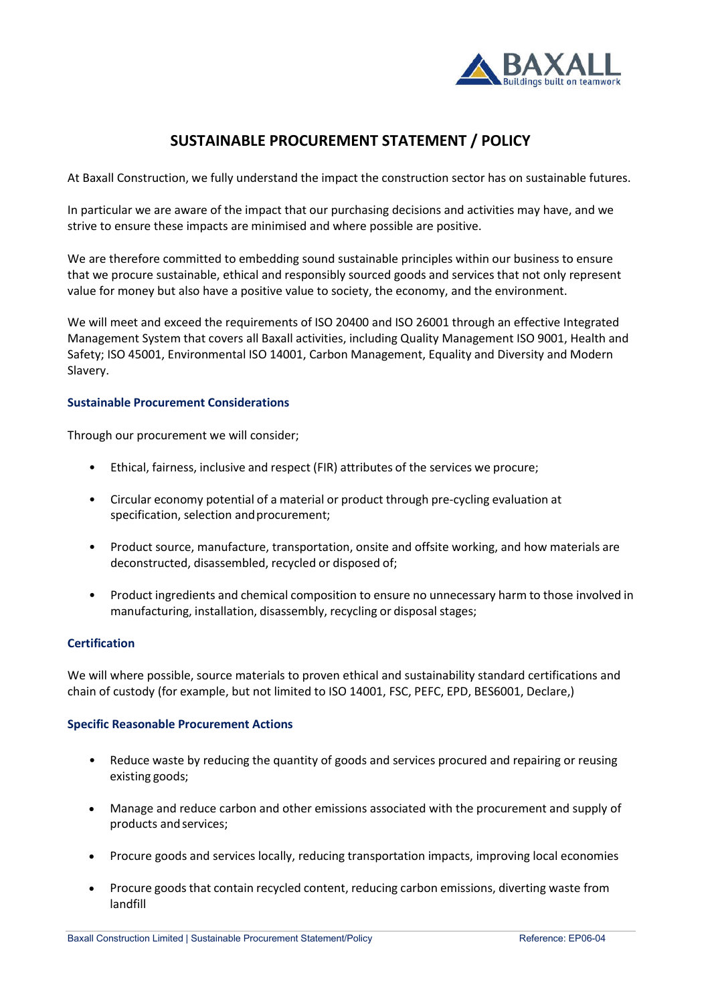

# **SUSTAINABLE PROCUREMENT STATEMENT / POLICY**

At Baxall Construction, we fully understand the impact the construction sector has on sustainable futures.

In particular we are aware of the impact that our purchasing decisions and activities may have, and we strive to ensure these impacts are minimised and where possible are positive.

We are therefore committed to embedding sound sustainable principles within our business to ensure that we procure sustainable, ethical and responsibly sourced goods and services that not only represent value for money but also have a positive value to society, the economy, and the environment.

We will meet and exceed the requirements of ISO 20400 and ISO 26001 through an effective Integrated Management System that covers all Baxall activities, including Quality Management ISO 9001, Health and Safety; ISO 45001, Environmental ISO 14001, Carbon Management, Equality and Diversity and Modern Slavery.

# **Sustainable Procurement Considerations**

Through our procurement we will consider;

- Ethical, fairness, inclusive and respect (FIR) attributes of the services we procure;
- Circular economy potential of a material or product through pre-cycling evaluation at specification, selection and procurement;
- Product source, manufacture, transportation, onsite and offsite working, and how materials are deconstructed, disassembled, recycled or disposed of;
- Product ingredients and chemical composition to ensure no unnecessary harm to those involved in manufacturing, installation, disassembly, recycling or disposal stages;

# **Certification**

We will where possible, source materials to proven ethical and sustainability standard certifications and chain of custody (for example, but not limited to ISO 14001, FSC, PEFC, EPD, BES6001, Declare,)

#### **Specific Reasonable Procurement Actions**

- Reduce waste by reducing the quantity of goods and services procured and repairing or reusing existing goods;
- Manage and reduce carbon and other emissions associated with the procurement and supply of products and services;
- Procure goods and services locally, reducing transportation impacts, improving local economies
- Procure goods that contain recycled content, reducing carbon emissions, diverting waste from landfill